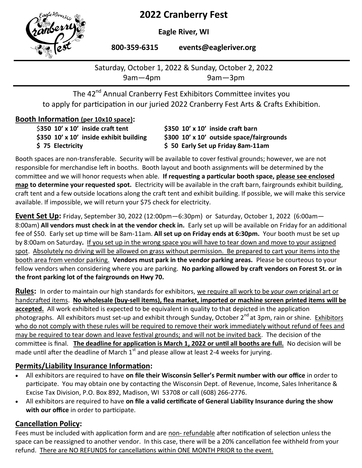# **2022 Cranberry Fest**



**Eagle River, WI** 

**800-359-6315 events@eagleriver.org**

Saturday, October 1, 2022 & Sunday, October 2, 2022 9am—4pm 9am—3pm

The 42<sup>nd</sup> Annual Cranberry Fest Exhibitors Committee invites you to apply for participation in our juried 2022 Cranberry Fest Arts & Crafts Exhibition.

#### **Booth Information (per 10x10 space):**

| \$350 $10'$ x 10' inside craft tent     | \$350 10' x 10' inside craft barn         |
|-----------------------------------------|-------------------------------------------|
| \$350 10' x 10' inside exhibit building | \$300 10' x 10' outside space/fairgrounds |
| \$75 Electricity                        | \$50 Early Set up Friday 8am-11am         |

Booth spaces are non-transferable. Security will be available to cover festival grounds; however, we are not responsible for merchandise left in booths. Booth layout and booth assignments will be determined by the committee and we will honor requests when able. **If requesting a particular booth space, please see enclosed map to determine your requested spot.** Electricity will be available in the craft barn, fairgrounds exhibit building, craft tent and a few outside locations along the craft tent and exhibit building. If possible, we will make this service available. If impossible, we will return your \$75 check for electricity.

**Event Set Up:** Friday, September 30, 2022 (12:00pm—6:30pm) or Saturday, October 1, 2022 (6:00am— 8:00am) **All vendors must check in at the vendor check in.** Early set up will be available on Friday for an additional fee of \$50. Early set up time will be 8am-11am. **All set up on Friday ends at 6:30pm.** Your booth must be set up by 8:00am on Saturday**.** If you set up in the wrong space you will have to tear down and move to your assigned spot. Absolutely no driving will be allowed on grass without permission. Be prepared to cart your items into the booth area from vendor parking. **Vendors must park in the vendor parking areas.** Please be courteous to your fellow vendors when considering where you are parking. **No parking allowed by craft vendors on Forest St. or in the front parking lot of the fairgrounds on Hwy 70.** 

**Rules:** In order to maintain our high standards for exhibitors, we require all work to be *your own* original art or handcrafted items. **No wholesale (buy-sell items), flea market, imported or machine screen printed items will be accepted.** All work exhibited is expected to be equivalent in quality to that depicted in the application  $\overline{\phantom{a}}$ photographs. All exhibitors must set-up and exhibit through Sunday, October 2<sup>nd</sup> at 3pm, rain or shine. Exhibitors who do not comply with these rules will be required to remove their work immediately without refund of fees and may be required to tear down and leave festival grounds; and will not be invited back. The decision of the committee is final. **The deadline for application is March 1, 2022 or until all booths are full.** No decision will be made until after the deadline of March  $1<sup>st</sup>$  and please allow at least 2-4 weeks for jurying.

### **Permits/Liability Insurance Information:**

- All exhibitors are required to have **on file their Wisconsin Seller's Permit number with our office** in order to participate. You may obtain one by contacting the Wisconsin Dept. of Revenue, Income, Sales Inheritance & Excise Tax Division, P.O. Box 892, Madison, WI 53708 or call (608) 266-2776.
- All exhibitors are required to have **on file a valid certificate of General Liability Insurance during the show with our office** in order to participate.

## **Cancellation Policy:**

Fees must be included with application form and are non- refundable after notification of selection unless the space can be reassigned to another vendor. In this case, there will be a 20% cancellation fee withheld from your refund. There are NO REFUNDS for cancellations within ONE MONTH PRIOR to the event.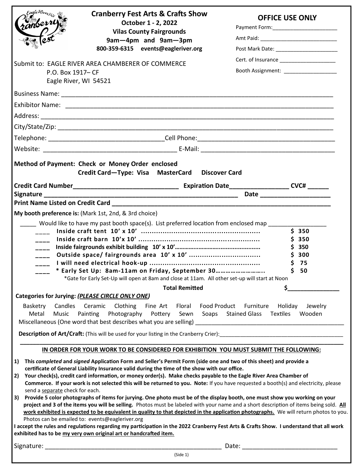| ranberry<br>P.O. Box 1917- CF<br>Eagle River, WI 54521                                                                        | <b>Cranberry Fest Arts &amp; Crafts Show</b><br>October 1 - 2, 2022<br><b>Vilas County Fairgrounds</b><br>9am-4pm and 9am-3pm<br>800-359-6315 events@eagleriver.org<br>Submit to: EAGLE RIVER AREA CHAMBERER OF COMMERCE                                                                                                                                                                                                                                                                                                                                                                                                                                                                                                                                                                                                                                                                          |       | <b>OFFICE USE ONLY</b><br>Cert. of Insurance ______________________ |   |                                                |
|-------------------------------------------------------------------------------------------------------------------------------|---------------------------------------------------------------------------------------------------------------------------------------------------------------------------------------------------------------------------------------------------------------------------------------------------------------------------------------------------------------------------------------------------------------------------------------------------------------------------------------------------------------------------------------------------------------------------------------------------------------------------------------------------------------------------------------------------------------------------------------------------------------------------------------------------------------------------------------------------------------------------------------------------|-------|---------------------------------------------------------------------|---|------------------------------------------------|
|                                                                                                                               |                                                                                                                                                                                                                                                                                                                                                                                                                                                                                                                                                                                                                                                                                                                                                                                                                                                                                                   |       |                                                                     |   |                                                |
|                                                                                                                               | Business Name: Name: Name and South Assembly Assembly Assembly Assembly Assembly Assembly Assembly Assembly Ass                                                                                                                                                                                                                                                                                                                                                                                                                                                                                                                                                                                                                                                                                                                                                                                   |       |                                                                     |   |                                                |
|                                                                                                                               |                                                                                                                                                                                                                                                                                                                                                                                                                                                                                                                                                                                                                                                                                                                                                                                                                                                                                                   |       |                                                                     |   |                                                |
|                                                                                                                               |                                                                                                                                                                                                                                                                                                                                                                                                                                                                                                                                                                                                                                                                                                                                                                                                                                                                                                   |       |                                                                     |   |                                                |
|                                                                                                                               |                                                                                                                                                                                                                                                                                                                                                                                                                                                                                                                                                                                                                                                                                                                                                                                                                                                                                                   |       |                                                                     |   |                                                |
|                                                                                                                               |                                                                                                                                                                                                                                                                                                                                                                                                                                                                                                                                                                                                                                                                                                                                                                                                                                                                                                   |       |                                                                     |   |                                                |
|                                                                                                                               | Method of Payment: Check or Money Order enclosed<br>Credit Card-Type: Visa MasterCard Discover Card                                                                                                                                                                                                                                                                                                                                                                                                                                                                                                                                                                                                                                                                                                                                                                                               |       |                                                                     |   |                                                |
|                                                                                                                               |                                                                                                                                                                                                                                                                                                                                                                                                                                                                                                                                                                                                                                                                                                                                                                                                                                                                                                   |       |                                                                     |   |                                                |
|                                                                                                                               | Print Name Listed on Credit Card <b>Cancell Cancell Container Container Container Container Container Container</b>                                                                                                                                                                                                                                                                                                                                                                                                                                                                                                                                                                                                                                                                                                                                                                               |       |                                                                     |   |                                                |
| My booth preference is: (Mark 1st, 2nd, & 3rd choice)<br>$\frac{1}{2}$<br>$---$<br>$---$<br>$\overline{\phantom{a}}$<br>$---$ | Would like to have my past booth space(s). List preferred location from enclosed map<br>* Early Set Up: 8am-11am on Friday, September 30<br>*Gate for Early Set-Up will open at 8am and close at 11am. All other set-up will start at Noon<br><b>Total Remitted</b>                                                                                                                                                                                                                                                                                                                                                                                                                                                                                                                                                                                                                               |       |                                                                     | S | \$350<br>\$350<br>\$350<br>\$300<br>75<br>\$50 |
| Categories for Jurying: (PLEASE CIRCLE ONLY ONE)                                                                              |                                                                                                                                                                                                                                                                                                                                                                                                                                                                                                                                                                                                                                                                                                                                                                                                                                                                                                   |       |                                                                     |   |                                                |
| Basketry<br>Metal<br>Music                                                                                                    | Candles Ceramic Clothing Fine Art Floral Food Product Furniture Holiday Jewelry<br>Painting Photography Pottery Sewn Soaps Stained Glass Textiles                                                                                                                                                                                                                                                                                                                                                                                                                                                                                                                                                                                                                                                                                                                                                 |       |                                                                     |   | Wooden                                         |
|                                                                                                                               | IN ORDER FOR YOUR WORK TO BE CONSIDERED FOR EXHIBITION YOU MUST SUBMIT THE FOLLOWING:                                                                                                                                                                                                                                                                                                                                                                                                                                                                                                                                                                                                                                                                                                                                                                                                             |       |                                                                     |   |                                                |
| 1)<br>2)<br>send a separate check for each.<br>3)<br>Photos can be emailed to: events@eagleriver.org                          | This completed and signed Application Form and Seller's Permit Form (side one and two of this sheet) and provide a<br>certificate of General Liability Insurance valid during the time of the show with our office.<br>Your check(s), credit card information, or money order(s). Make checks payable to the Eagle River Area Chamber of<br>Commerce. If your work is not selected this will be returned to you. Note: If you have requested a booth(s) and electricity, please<br>Provide 5 color photographs of items for jurying. One photo must be of the display booth, one must show you working on your<br>project and 3 of the items you will be selling. Photos must be labeled with your name and a short description of items being sold. All<br>work exhibited is expected to be equivalent in quality to that depicted in the application photographs. We will return photos to you. |       |                                                                     |   |                                                |
|                                                                                                                               | I accept the rules and regulations regarding my participation in the 2022 Cranberry Fest Arts & Crafts Show. I understand that all work<br>exhibited has to be my very own original art or handcrafted item.                                                                                                                                                                                                                                                                                                                                                                                                                                                                                                                                                                                                                                                                                      |       |                                                                     |   |                                                |
| Signature:                                                                                                                    |                                                                                                                                                                                                                                                                                                                                                                                                                                                                                                                                                                                                                                                                                                                                                                                                                                                                                                   | Date: |                                                                     |   |                                                |

(Side 1)